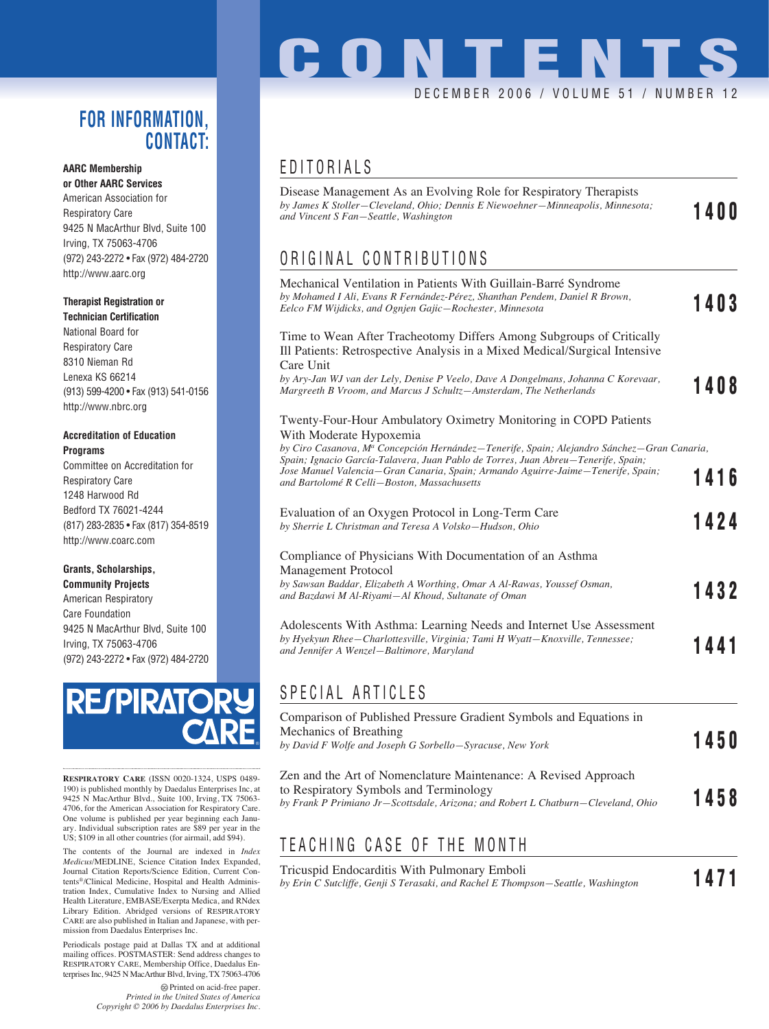### **FOR INFORMATION, CONTACT:**

### **AARC Membership**

**or Other AARC Services** American Association for Respiratory Care 9425 N MacArthur Blvd, Suite 100 Irving, TX 75063-4706 (972) 243-2272 • Fax (972) 484-2720 http://www.aarc.org

#### **Therapist Registration or**

**Technician Certification** National Board for Respiratory Care 8310 Nieman Rd Lenexa KS 66214 (913) 599-4200 • Fax (913) 541-0156 http://www.nbrc.org

#### **Accreditation of Education Programs**

Committee on Accreditation for Respiratory Care 1248 Harwood Rd Bedford TX 76021-4244 (817) 283-2835 • Fax (817) 354-8519 http://www.coarc.com

#### **Grants, Scholarships,**

**Community Projects** American Respiratory Care Foundation 9425 N MacArthur Blvd, Suite 100 Irving, TX 75063-4706 (972) 243-2272 • Fax (972) 484-2720



**RESPIRATORY CARE** (ISSN 0020-1324, USPS 0489- 190) is published monthly by Daedalus Enterprises Inc, at 9425 N MacArthur Blvd., Suite 100, Irving, TX 75063- 4706, for the American Association for Respiratory Care. One volume is published per year beginning each January. Individual subscription rates are \$89 per year in the US; \$109 in all other countries (for airmail, add \$94).

The contents of the Journal are indexed in *Index Medicus*/MEDLINE, Science Citation Index Expanded, Journal Citation Reports/Science Edition, Current Contents®/Clinical Medicine, Hospital and Health Administration Index, Cumulative Index to Nursing and Allied Health Literature, EMBASE/Exerpta Medica, and RNdex Library Edition. Abridged versions of RESPIRATORY CARE are also published in Italian and Japanese, with permission from Daedalus Enterprises Inc.

Periodicals postage paid at Dallas TX and at additional mailing offices. POSTMASTER: Send address changes to RESPIRATORY CARE, Membership Office, Daedalus Enterprises Inc, 9425 N MacArthur Blvd, Irving, TX 75063-4706

> Printed on acid-free paper. *Printed in the United States of America Copyright © 2006 by Daedalus Enterprises Inc.*

### EDITORIALS

| Disease Management As an Evolving Role for Respiratory Therapists<br>by James K Stoller-Cleveland, Ohio; Dennis E Niewoehner-Minneapolis, Minnesota;<br>and Vincent S Fan-Seattle, Washington                        | 1400 |
|----------------------------------------------------------------------------------------------------------------------------------------------------------------------------------------------------------------------|------|
| ORIGINAL CONTRIBUTIONS                                                                                                                                                                                               |      |
| Mechanical Ventilation in Patients With Guillain-Barré Syndrome<br>by Mohamed I Ali, Evans R Fernández-Pérez, Shanthan Pendem, Daniel R Brown,<br>Eelco FM Wijdicks, and Ognjen Gajic-Rochester, Minnesota           | 1403 |
| Time to Wean After Tracheotomy Differs Among Subgroups of Critically<br>Ill Patients: Retrospective Analysis in a Mixed Medical/Surgical Intensive<br>Care Unit                                                      |      |
| by Ary-Jan WJ van der Lely, Denise P Veelo, Dave A Dongelmans, Johanna C Korevaar,<br>Margreeth B Vroom, and Marcus J Schultz-Amsterdam, The Netherlands                                                             | 1408 |
| Twenty-Four-Hour Ambulatory Oximetry Monitoring in COPD Patients<br>With Moderate Hypoxemia<br>by Ciro Casanova, Mª Concepción Hernández-Tenerife, Spain; Alejandro Sánchez-Gran Canaria,                            |      |
| Spain; Ignacio García-Talavera, Juan Pablo de Torres, Juan Abreu-Tenerife, Spain;<br>Jose Manuel Valencia—Gran Canaria, Spain; Armando Aguirre-Jaime—Tenerife, Spain;<br>and Bartolomé R Celli–Boston, Massachusetts | 1416 |
| Evaluation of an Oxygen Protocol in Long-Term Care<br>by Sherrie L Christman and Teresa A Volsko-Hudson, Ohio                                                                                                        | 1424 |
| Compliance of Physicians With Documentation of an Asthma<br>Management Protocol                                                                                                                                      |      |
| by Sawsan Baddar, Elizabeth A Worthing, Omar A Al-Rawas, Youssef Osman,<br>and Bazdawi M Al-Riyami-Al Khoud, Sultanate of Oman                                                                                       | 1432 |
| Adolescents With Asthma: Learning Needs and Internet Use Assessment<br>by Hyekyun Rhee-Charlottesville, Virginia; Tami H Wyatt-Knoxville, Tennessee;<br>and Jennifer A Wenzel-Baltimore, Maryland                    | 1441 |
| SPECIAL ARTICLES                                                                                                                                                                                                     |      |

| Comparison of Published Pressure Gradient Symbols and Equations in                |      |  |
|-----------------------------------------------------------------------------------|------|--|
| Mechanics of Breathing                                                            | 1450 |  |
| by David F Wolfe and Joseph G Sorbello-Syracuse, New York                         |      |  |
| Zen and the Art of Nomenclature Maintenance: A Revised Approach                   |      |  |
| to Respiratory Symbols and Terminology                                            |      |  |
| by Frank P Primiano Jr-Scottsdale, Arizona: and Robert L Chatburn–Cleveland, Ohio | 1458 |  |

### TEACHING CASE OF THE MONTH

#### Tricuspid Endocarditis With Pulmonary Emboli *by Erin C Sutcliffe, Genji S Terasaki, and Rachel E Thompson—Seattle, Washington* **1471**

## **CONTENTS** DECEMBER 2006 / VOLUME 51 / NUMBER